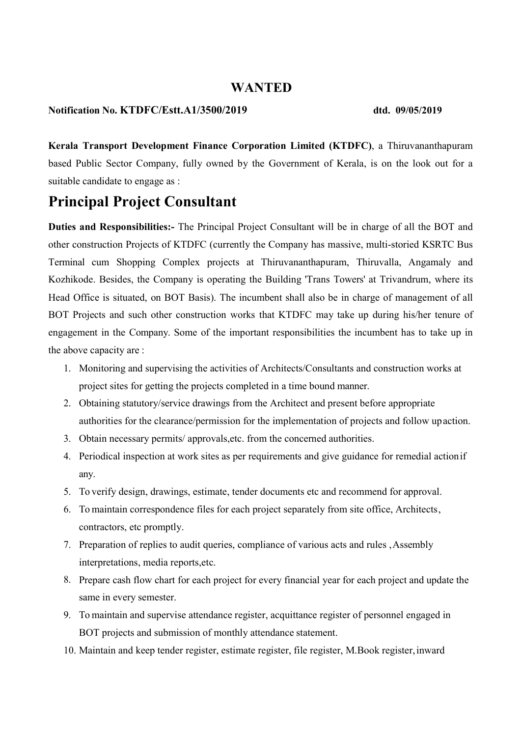### WANTED

### Notification No. KTDFC/Estt.A1/3500/2019 dtd. 09/05/2019

Kerala Transport Development Finance Corporation Limited (KTDFC), a Thiruvananthapuram based Public Sector Company, fully owned by the Government of Kerala, is on the look out for a suitable candidate to engage as :

# Principal Project Consultant

Duties and Responsibilities:- The Principal Project Consultant will be in charge of all the BOT and other construction Projects of KTDFC (currently the Company has massive, multi-storied KSRTC Bus Terminal cum Shopping Complex projects at Thiruvananthapuram, Thiruvalla, Angamaly and Kozhikode. Besides, the Company is operating the Building 'Trans Towers' at Trivandrum, where its Head Office is situated, on BOT Basis). The incumbent shall also be in charge of management of all BOT Projects and such other construction works that KTDFC may take up during his/her tenure of engagement in the Company. Some of the important responsibilities the incumbent has to take up in the above capacity are :

- 1. Monitoring and supervising the activities of Architects/Consultants and construction works at project sites for getting the projects completed in a time bound manner.
- 2. Obtaining statutory/service drawings from the Architect and present before appropriate authorities for the clearance/permission for the implementation of projects and follow up action.
- 3. Obtain necessary permits/ approvals,etc. from the concerned authorities.
- 4. Periodical inspection at work sites as per requirements and give guidance for remedial action if any.
- 5. To verify design, drawings, estimate, tender documents etc and recommend for approval.
- 6. To maintain correspondence files for each project separately from site office, Architects , contractors, etc promptly.
- 7. Preparation of replies to audit queries, compliance of various acts and rules , Assembly interpretations, media reports,etc.
- 8. Prepare cash flow chart for each project for every financial year for each project and update the same in every semester.
- 9. To maintain and supervise attendance register, acquittance register of personnel engaged in BOT projects and submission of monthly attendance statement.
- 10. Maintain and keep tender register, estimate register, file register, M.Book register, inward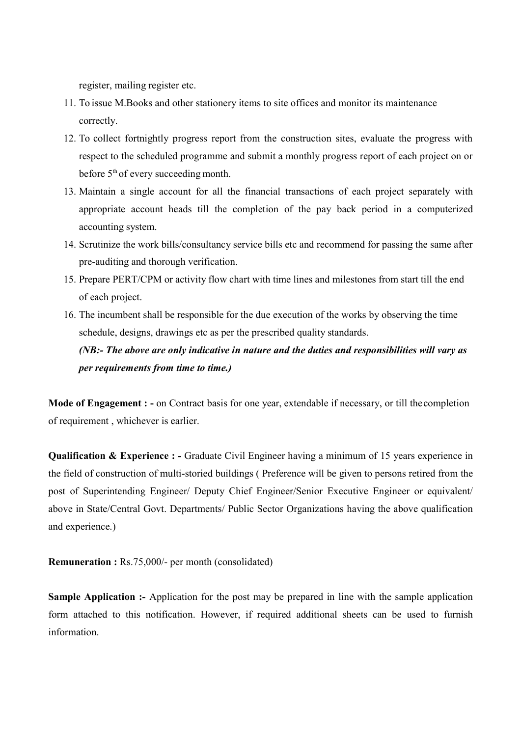register, mailing register etc.

- 11. To issue M.Books and other stationery items to site offices and monitor its maintenance correctly.
- 12. To collect fortnightly progress report from the construction sites, evaluate the progress with respect to the scheduled programme and submit a monthly progress report of each project on or before 5<sup>th</sup> of every succeeding month.
- 13. Maintain a single account for all the financial transactions of each project separately with appropriate account heads till the completion of the pay back period in a computerized accounting system.
- 14. Scrutinize the work bills/consultancy service bills etc and recommend for passing the same after pre-auditing and thorough verification.
- 15. Prepare PERT/CPM or activity flow chart with time lines and milestones from start till the end of each project.
- 16. The incumbent shall be responsible for the due execution of the works by observing the time schedule, designs, drawings etc as per the prescribed quality standards.

## (NB:- The above are only indicative in nature and the duties and responsibilities will vary as per requirements from time to time.)

Mode of Engagement : - on Contract basis for one year, extendable if necessary, or till the completion of requirement , whichever is earlier.

Qualification & Experience : - Graduate Civil Engineer having a minimum of 15 years experience in the field of construction of multi-storied buildings ( Preference will be given to persons retired from the post of Superintending Engineer/ Deputy Chief Engineer/Senior Executive Engineer or equivalent/ above in State/Central Govt. Departments/ Public Sector Organizations having the above qualification and experience.)

Remuneration : Rs.75,000/- per month (consolidated)

Sample Application :- Application for the post may be prepared in line with the sample application form attached to this notification. However, if required additional sheets can be used to furnish information.